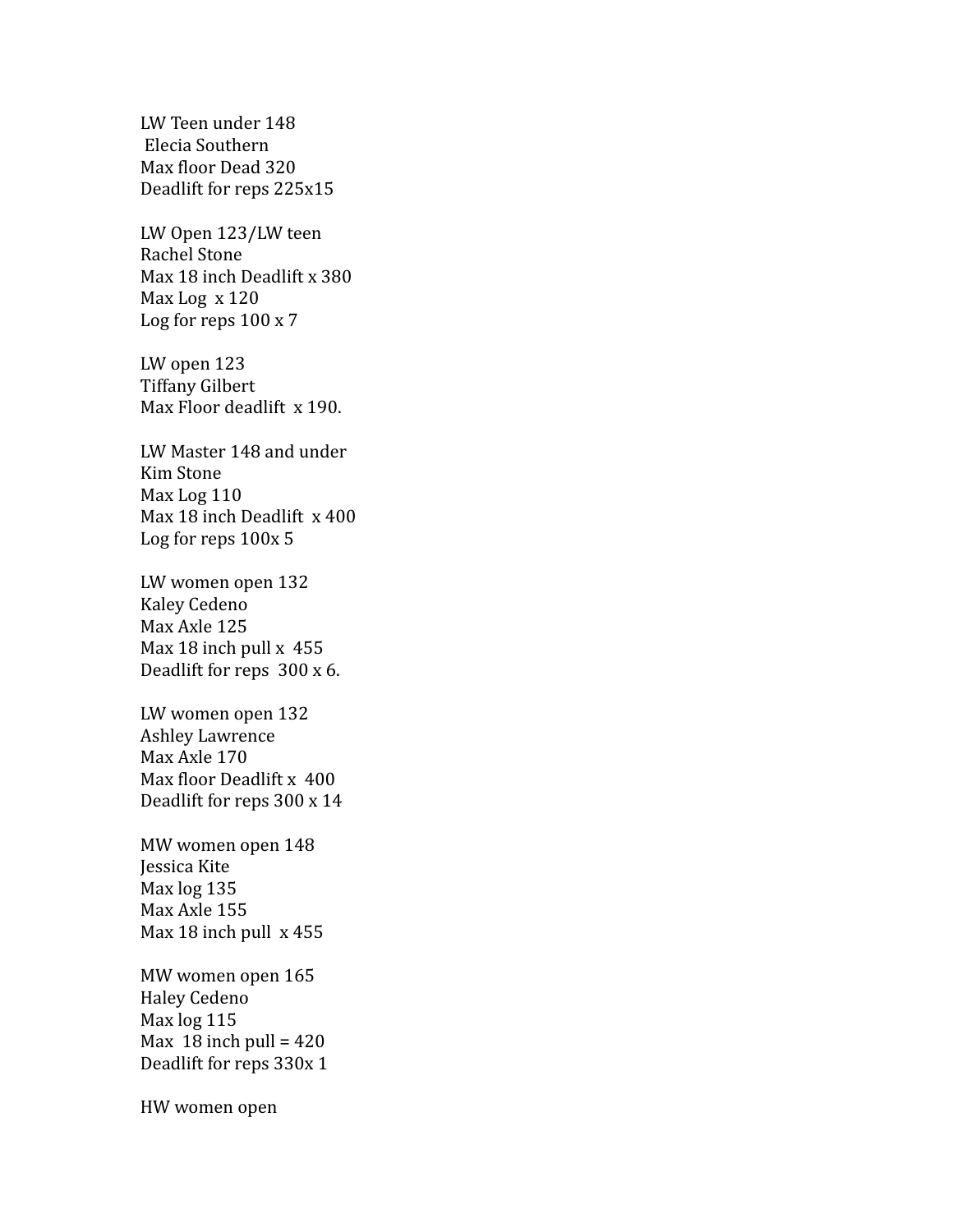LW Teen under 148 Elecia Southern Max floor Dead 320 Deadlift for reps 225x15

LW Open 123/LW teen Rachel Stone Max 18 inch Deadlift x 380 Max Log x 120 Log for reps 100 x 7

LW open 123 Tiffany Gilbert Max Floor deadlift x 190.

LW Master 148 and under Kim Stone Max Log 110 Max 18 inch Deadlift x 400 Log for reps 100x 5

LW women open 132 Kaley Cedeno Max Axle 125 Max 18 inch pull x 455 Deadlift for reps 300 x 6.

LW women open 132 Ashley Lawrence Max Axle 170 Max floor Deadlift x 400 Deadlift for reps 300 x 14

MW women open 148 Jessica Kite Max log 135 Max Axle 155 Max 18 inch pull x 455

MW women open 165 Haley Cedeno Max log 115 Max 18 inch pull =  $420$ Deadlift for reps 330x 1

HW women open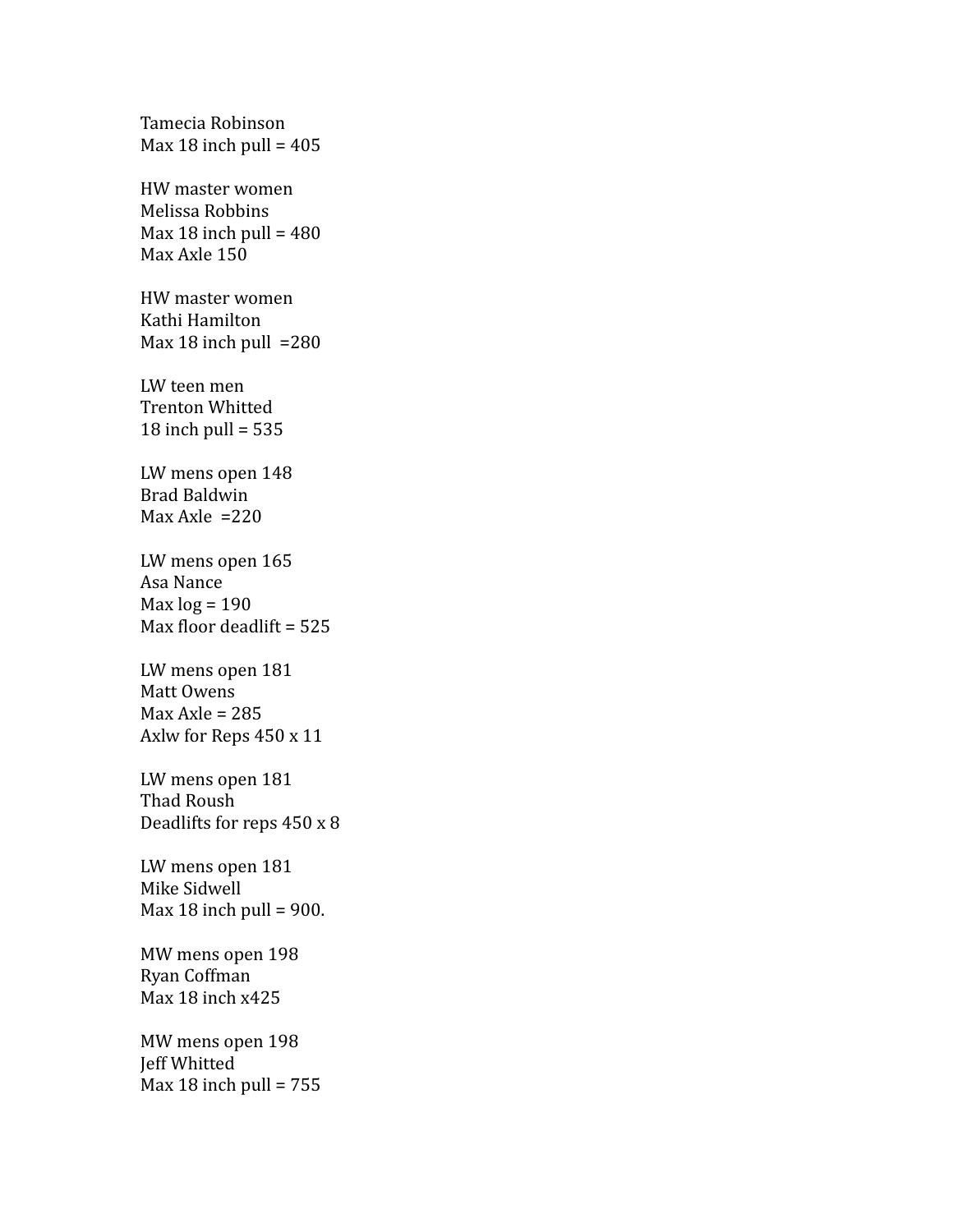Tamecia Robinson Max 18 inch pull =  $405$ HW master women Melissa Robbins Max 18 inch pull =  $480$ Max Axle 150 HW master women Kathi Hamilton Max 18 inch pull  $=280$ LW teen men Trenton Whitted 18 inch pull  $= 535$ LW mens open 148 Brad Baldwin Max Axle  $=220$ LW mens open 165 Asa Nance Max  $log = 190$ Max floor deadlift = 525 LW mens open 181 Matt Owens  $Max Axle = 285$ Axlw for Reps 450 x 11 LW mens open 181 Thad Roush Deadlifts for reps 450 x 8 LW mens open 181 Mike Sidwell Max 18 inch pull =  $900$ . MW mens open 198 Ryan Coffman Max 18 inch x425 MW mens open 198 Jeff Whitted Max 18 inch pull =  $755$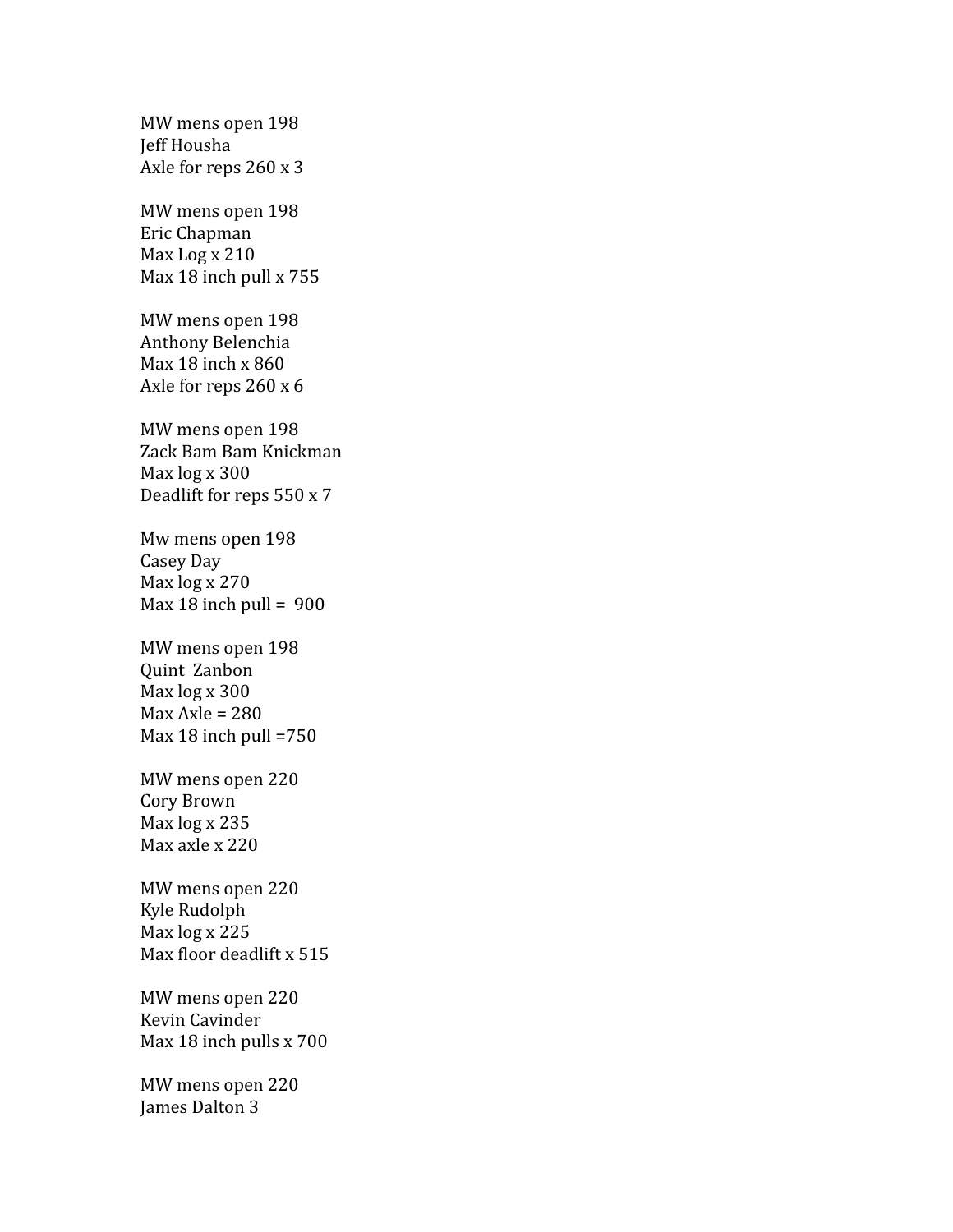MW mens open 198 Jeff Housha Axle for reps 260 x 3

MW mens open 198 Eric Chapman Max Log x 210 Max 18 inch pull x 755

MW mens open 198 Anthony Belenchia Max 18 inch x 860 Axle for reps 260 x 6

MW mens open 198 Zack Bam Bam Knickman Max log x 300 Deadlift for reps 550 x 7

Mw mens open 198 Casey Day Max log x 270 Max 18 inch pull =  $900$ 

MW mens open 198 Quint Zanbon Max log x 300  $Max Axle = 280$ Max 18 inch pull =750

MW mens open 220 Cory Brown Max log x 235 Max axle x 220

MW mens open 220 Kyle Rudolph Max log x 225 Max floor deadlift x 515

MW mens open 220 Kevin Cavinder Max 18 inch pulls x 700

MW mens open 220 James Dalton 3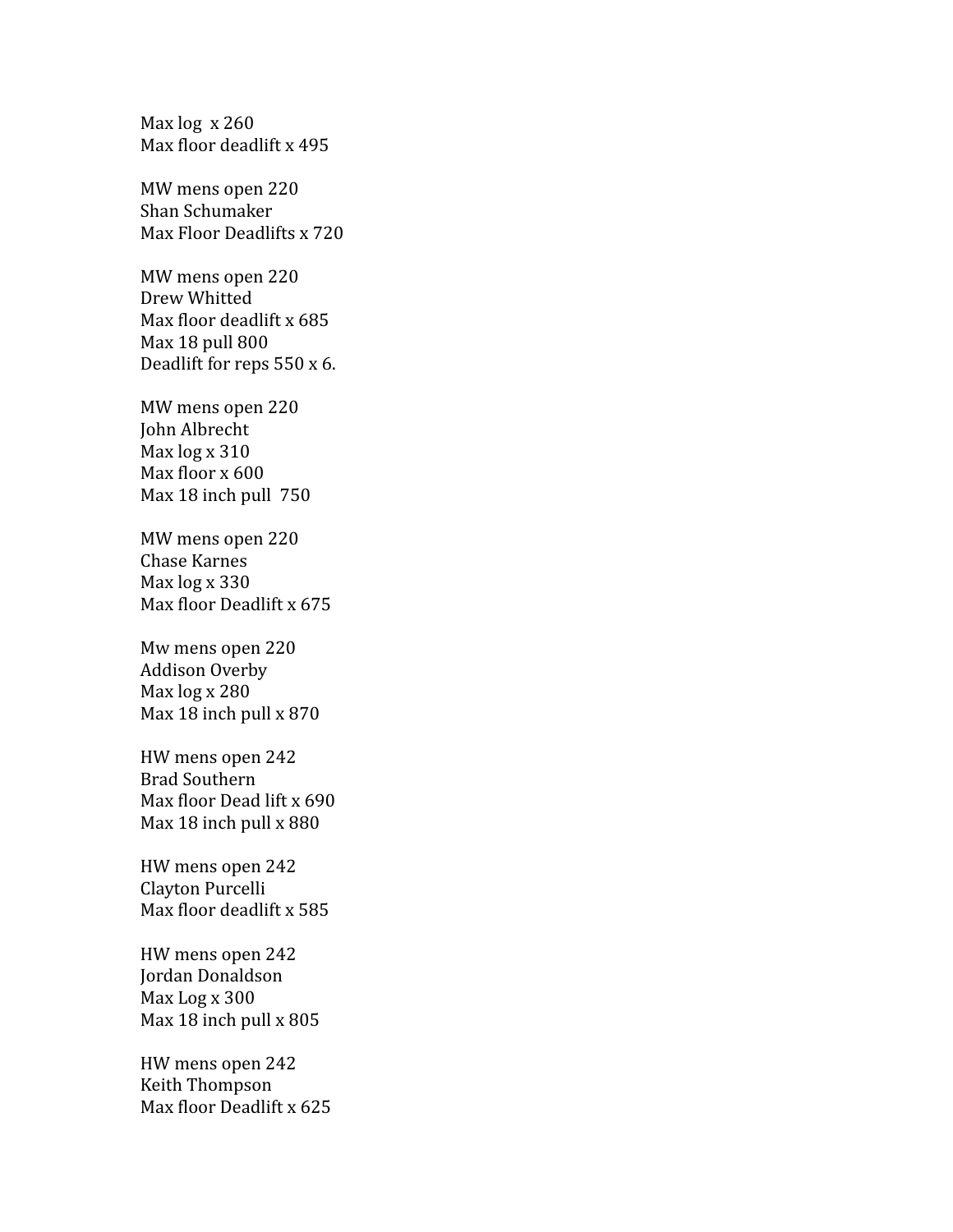Max log x 260 Max floor deadlift x 495

MW mens open 220 Shan Schumaker Max Floor Deadlifts x 720

MW mens open 220 Drew Whitted Max floor deadlift x 685 Max 18 pull 800 Deadlift for reps 550 x 6.

MW mens open 220 John Albrecht Max log x 310 Max floor x 600 Max 18 inch pull 750

MW mens open 220 Chase Karnes Max log x 330 Max floor Deadlift x 675

Mw mens open 220 Addison Overby Max log x 280 Max 18 inch pull x 870

HW mens open 242 Brad Southern Max floor Dead lift x 690 Max 18 inch pull x 880

HW mens open 242 Clayton Purcelli Max floor deadlift x 585

HW mens open 242 Jordan Donaldson Max Log x 300 Max 18 inch pull x 805

HW mens open 242 Keith Thompson Max floor Deadlift x 625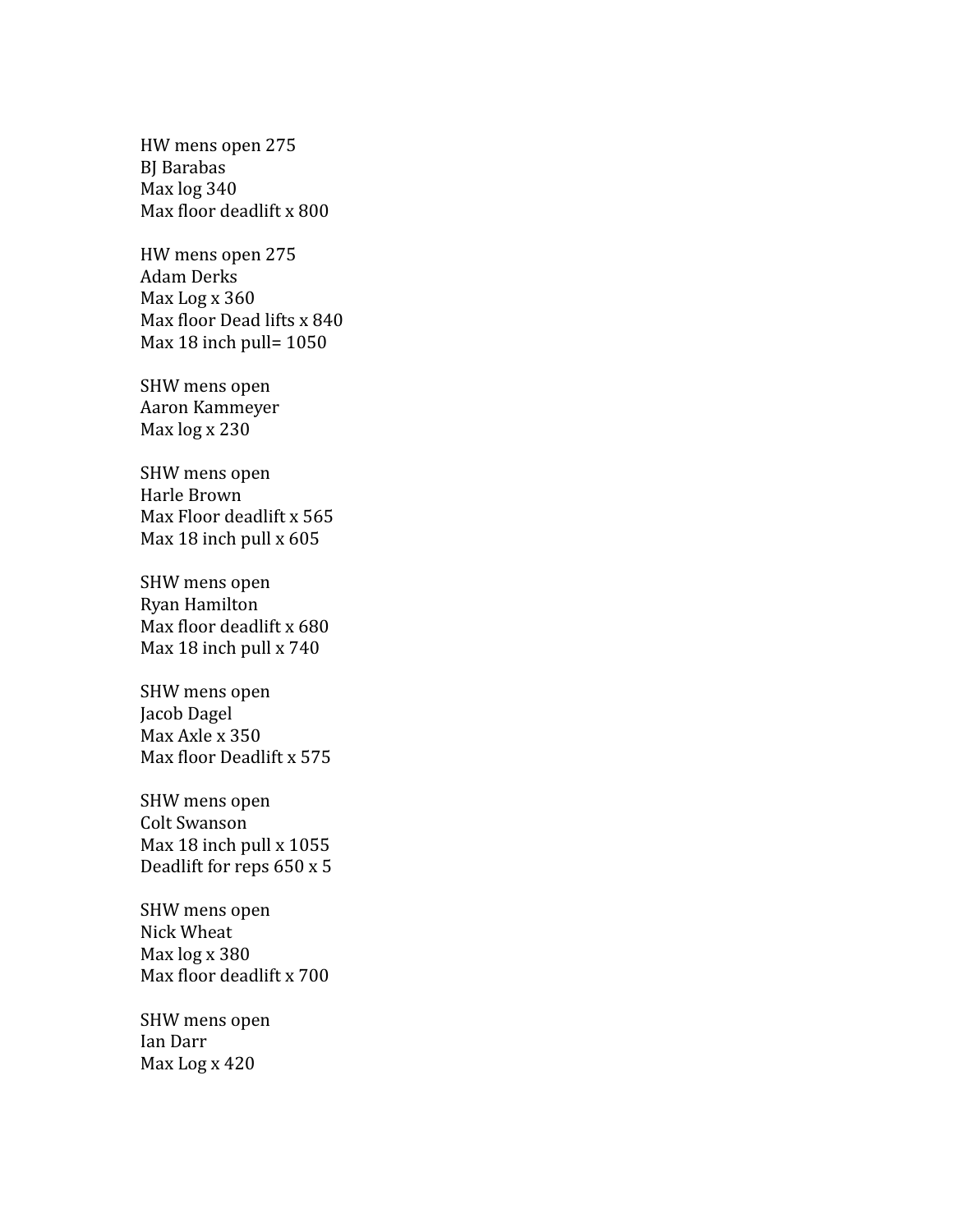HW mens open 275 BJ Barabas Max log 340 Max floor deadlift x 800

HW mens open 275 Adam Derks Max Log x 360 Max floor Dead lifts x 840 Max 18 inch pull= 1050

SHW mens open Aaron Kammeyer Max log x 230

SHW mens open Harle Brown Max Floor deadlift x 565 Max 18 inch pull x 605

SHW mens open Ryan Hamilton Max floor deadlift x 680 Max 18 inch pull x 740

SHW mens open Jacob Dagel Max Axle x 350 Max floor Deadlift x 575

SHW mens open Colt Swanson Max 18 inch pull x 1055 Deadlift for reps 650 x 5

SHW mens open Nick Wheat Max log x 380 Max floor deadlift x 700

SHW mens open Ian Darr Max Log x 420